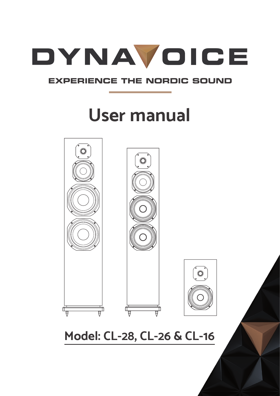

### **EXPERIENCE THE NORDIC SOUND**

# **User manual**



### **Model: CL-28, CL-26 & CL-16**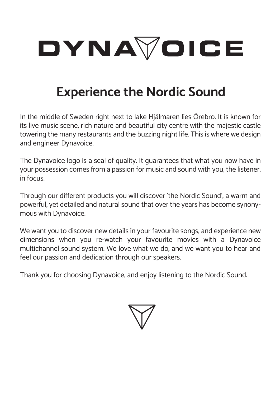

### **Experience the Nordic Sound**

In the middle of Sweden right next to lake Hjälmaren lies Örebro. It is known for its live music scene, rich nature and beautiful city centre with the majestic castle towering the many restaurants and the buzzing night life. This is where we design and engineer Dynavoice.

The Dynavoice logo is a seal of quality. It guarantees that what you now have in your possession comes from a passion for music and sound with you, the listener, in focus.

Through our different products you will discover 'the Nordic Sound', a warm and powerful, yet detailed and natural sound that over the years has become synonymous with Dynavoice.

We want you to discover new details in your favourite songs, and experience new dimensions when you re-watch your favourite movies with a Dynavoice multichannel sound system. We love what we do, and we want you to hear and feel our passion and dedication through our speakers.

Thank you for choosing Dynavoice, and enjoy listening to the Nordic Sound.

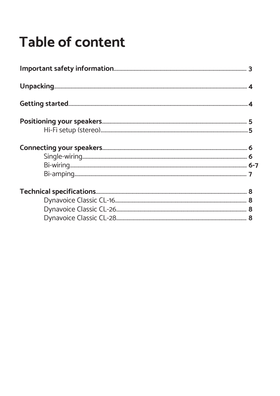### **Table of content**

| $\begin{minipage}[c]{0.9\linewidth} \textbf{Connecting your speakers.}\footnote{ \begin{minipage}[c]{0.9\linewidth} \textbf{5} & \textbf{6} \\ \textbf{5} & \textbf{7} \\ \textbf{8} & \textbf{9} \\ \textbf{1} & \textbf{1} \\ \textbf{2} & \textbf{1} \\ \textbf{2} & \textbf{2} \\ \textbf{3} & \textbf{2} \\ \textbf{4} & \textbf{2} \\ \textbf{5} & \textbf{3} \\ \textbf{5} & \textbf{1} \\ \textbf{2} & \textbf{2} \\ \end{minipage} } \begin{minipage}[c]{0.9\linewidth}$ |  |  |
|-----------------------------------------------------------------------------------------------------------------------------------------------------------------------------------------------------------------------------------------------------------------------------------------------------------------------------------------------------------------------------------------------------------------------------------------------------------------------------------|--|--|
|                                                                                                                                                                                                                                                                                                                                                                                                                                                                                   |  |  |
|                                                                                                                                                                                                                                                                                                                                                                                                                                                                                   |  |  |
|                                                                                                                                                                                                                                                                                                                                                                                                                                                                                   |  |  |
|                                                                                                                                                                                                                                                                                                                                                                                                                                                                                   |  |  |
|                                                                                                                                                                                                                                                                                                                                                                                                                                                                                   |  |  |
|                                                                                                                                                                                                                                                                                                                                                                                                                                                                                   |  |  |
|                                                                                                                                                                                                                                                                                                                                                                                                                                                                                   |  |  |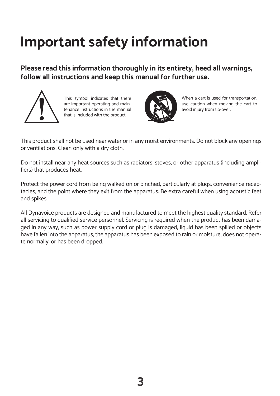### **Important safety information**

**Please read this information thoroughly in its entirety, heed all warnings, follow all instructions and keep this manual for further use.** 



This symbol indicates that there are important operating and maintenance instructions in the manual that is included with the product.



When a cart is used for transportation, use caution when moving the cart to avoid injury from tip-over.

This product shall not be used near water or in any moist environments. Do not block any openings or ventilations. Clean only with a dry cloth.

Do not install near any heat sources such as radiators, stoves, or other apparatus (including amplifiers) that produces heat.

Protect the power cord from being walked on or pinched, particularly at plugs, convenience receptacles, and the point where they exit from the apparatus. Be extra careful when using acoustic feet and spikes.

All Dynavoice products are designed and manufactured to meet the highest quality standard. Refer all servicing to qualified service personnel. Servicing is required when the product has been damaged in any way, such as power supply cord or plug is damaged, liquid has been spilled or objects have fallen into the apparatus, the apparatus has been exposed to rain or moisture, does not operate normally, or has been dropped.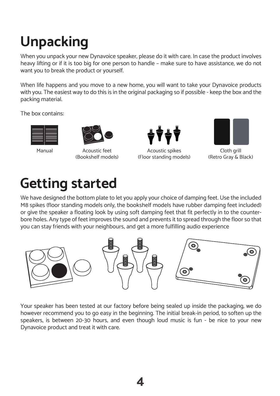# **Unpacking**

When you unpack your new Dynavoice speaker, please do it with care. In case the product involves heavy lifting or if it is too big for one person to handle – make sure to have assistance, we do not want you to break the product or yourself.

When life happens and you move to a new home, you will want to take your Dynavoice products with you. The easiest way to do this is in the original packaging so if possible - keep the box and the packing material.

The box contains:





Acoustic feet (Bookshelf models)



Acoustic spikes Manual Cloth grill (Floor standing models)



(Retro Gray & Black)

### **Getting started**

We have designed the bottom plate to let you apply your choice of damping feet. Use the included M8 spikes (floor standing models only, the bookshelf models have rubber damping feet included) or give the speaker a floating look by using soft damping feet that fit perfectly in to the counterbore holes. Any type of feet improves the sound and prevents it to spread through the floor so that you can stay friends with your neighbours, and get a more fulfilling audio experience



Your speaker has been tested at our factory before being sealed up inside the packaging, we do however recommend you to go easy in the beginning. The initial break-in period, to soften up the speakers, is between 20-30 hours, and even though loud music is fun - be nice to your new Dynavoice product and treat it with care.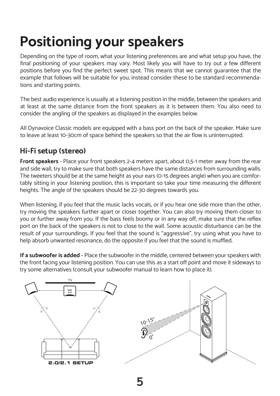# **Positioning your speakers**

Depending on the type of room, what your listening preferences are and what setup you have, the final positioning of your speakers may vary. Most likely you will have to try out a few different positions before you find the perfect sweet spot. This means that we cannot guarantee that the example that follows will be suitable for you, instead consider these to be standard recommendations and starting points.

The best audio experience is usually at a listening position in the middle, between the speakers and at least at the same distance from the front speakers as it is between them. You also need to consider the angling of the speakers as displayed in the examples below.

All Dynavoice Classic models are equipped with a bass port on the back of the speaker. Make sure to leave at least 10-30cm of space behind the speakers so that the air flow is uninterrupted.

### **Hi-Fi setup (stereo)**

**Front speakers** - Place your front speakers 2-4 meters apart, about 0,5-1 meter away from the rear and side wall, try to make sure that both speakers have the same distances from surrounding walls. The tweeters should be at the same height as your ears (0-15 degrees angle) when you are comfortably sitting in your listening position, this is important so take your time measuring the different heights. The angle of the speakers should be 22-30 degrees towards you.

When listening, if you feel that the music lacks vocals, or if you hear one side more than the other, try moving the speakers further apart or closer together. You can also try moving them closer to you or further away from you. If the bass feels boomy or in any way off, make sure that the reflex port on the back of the speakers is not to close to the wall. Some acoustic disturbance can be the result of your surroundings. If you feel that the sound is "aggressive", try using what you have to help absorb unwanted resonance, do the opposite if you feel that the sound is muffled.

**If a subwoofer is added** - Place the subwoofer in the middle, centered between your speakers with the front facing your listening position. You can use this as a start off point and move it sideways to try some alternatives (consult your subwoofer manual to learn how to place it).

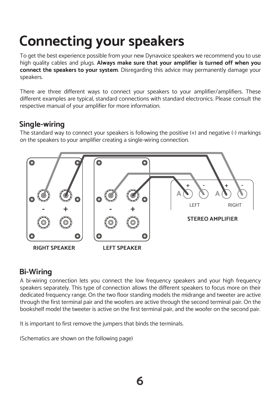### **Connecting your speakers**

To get the best experience possible from your new Dynavoice speakers we recommend you to use high quality cables and plugs. **Always make sure that your amplifier is turned off when you connect the speakers to your system**. Disregarding this advice may permanently damage your speakers.

There are three different ways to connect your speakers to your amplifier/amplifiers. These different examples are typical, standard connections with standard electronics. Please consult the respective manual of your amplifier for more information.

#### **Single-wiring**

The standard way to connect your speakers is following the positive (+) and negative (-) markings on the speakers to your amplifier creating a single-wiring connection.



### **Bi-Wiring**

A bi-wiring connection lets you connect the low frequency speakers and your high frequency speakers separately. This type of connection allows the different speakers to focus more on their dedicated frequency range. On the two floor standing models the midrange and tweeter are active through the first terminal pair and the woofers are active through the second terminal pair. On the bookshelf model the tweeter is active on the first terminal pair, and the woofer on the second pair.

It is important to first remove the jumpers that binds the terminals.

(Schematics are shown on the following page)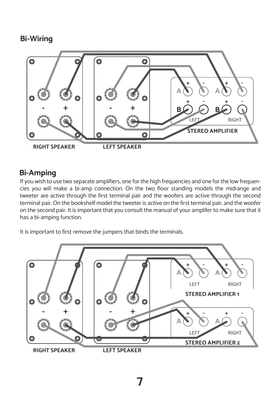#### **Bi-Wiring**



### **Bi-Amping**

If you wish to use two separate amplifiers, one for the high frequencies and one for the low frequencies you will make a bi-amp connection. On the two floor standing models the midrange and tweeter are active through the first terminal pair and the woofers are active through the second terminal pair. On the bookshelf model the tweeter is active on the first terminal pair, and the woofer on the second pair. It is important that you consult the manual of your amplifer to make sure that it has a bi-amping function.

It is important to first remove the jumpers that binds the terminals.

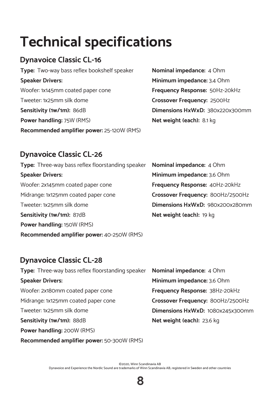### **Technical specifications**

### **Dynavoice Classic CL-16**

**Type:** Two-way bass reflex bookshelf speaker **Speaker Drivers:**  Woofer: 1x145mm coated paper cone Tweeter: 1x25mm silk dome **Sensitivity (1w/1m):** 86dB **Power handling:** 75W (RMS) **Recommended amplifier power:** 25-120W (RMS) **Nominal impedance:** 4 Ohm **Minimum impedance:** 3.4 Ohm **Frequency Response:** 50Hz-20kHz **Crossover Frequency:** 2500Hz **Dimensions HxWxD:** 380x220x300mm **Net weight (each):** 8.1 kg

#### **Dynavoice Classic CL-26**

| Type: Three-way bass reflex floorstanding speaker | Nominal impedance: 4 Ohm          |
|---------------------------------------------------|-----------------------------------|
| <b>Speaker Drivers:</b>                           | Minimum impedance: 3.6 Ohm        |
| Woofer: 2x145mm coated paper cone                 | Frequency Response: 40Hz-20kHz    |
| Midrange: 1x125mm coated paper cone               | Crossover Frequency: 800Hz/2500Hz |
| Tweeter: 1x25mm silk dome                         | Dimensions HxWxD: 980x200x280mm   |
| Sensitivity (1w/1m): 87dB                         | Net weight (each): 19 kg          |
| Power handling: 150W (RMS)                        |                                   |
| Recommended amplifier power: 40-250W (RMS)        |                                   |

#### **Dynavoice Classic CL-28**

| Type: Three-way bass reflex floorstanding speaker | <b>Nominal impedance: 4 Ohm</b>   |
|---------------------------------------------------|-----------------------------------|
| <b>Speaker Drivers:</b>                           | Minimum impedance: 3.6 Ohm        |
| Woofer: 2x180mm coated paper cone                 | Frequency Response: 38Hz-20kHz    |
| Midrange: 1x125mm coated paper cone               | Crossover Frequency: 800Hz/2500Hz |
| Tweeter: 1x25mm silk dome                         | Dimensions HxWxD: 1080x245x300mm  |
| Sensitivity (1w/1m): 88dB                         | Net weight (each): 23.6 kg        |
| Power handling: 200W (RMS)                        |                                   |

**Recommended amplifier power:** 50-300W (RMS)

©2020, Winn Scandinavia AB Dynavoice and Experience the Nordic Sound are trademarks of Winn Scandinavia AB, registered in Sweden and other countries